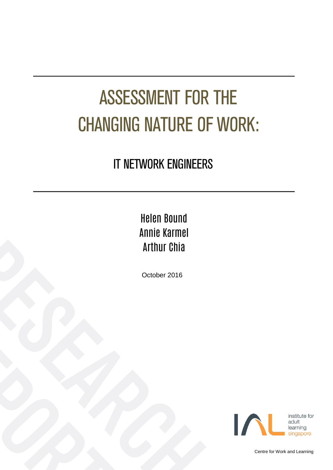# ASSESSMENT FOR THE CHANGING NATURE OF WORK:

### IT NETWORK ENGINEERS

### Helen Bound Annie Karmel Arthur Chia

October 2016



Centre for Work and Learning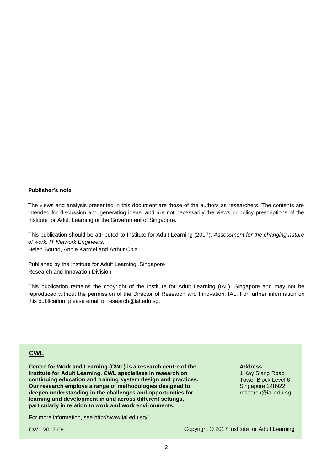#### **Publisher's note**

The views and analysis presented in this document are those of the authors as researchers. The contents are intended for discussion and generating ideas, and are not necessarily the views or policy prescriptions of the Institute for Adult Learning or the Government of Singapore.

This publication should be attributed to Institute for Adult Learning (2017). *Assessment for the changing nature of work: IT Network Engineers.*

Helen Bound, Annie Karmel and Arthur Chia

Published by the Institute for Adult Learning, Singapore Research and Innovation Division

This publication remains the copyright of the Institute for Adult Learning (IAL), Singapore and may not be reproduced without the permission of the Director of Research and Innovation, IAL. For further information on this publication, please email to research@ial.edu.sg.

#### **CWL**

**Centre for Work and Learning (CWL) is a research centre of the Institute for Adult Learning. CWL specialises in research on continuing education and training system design and practices. Our research employs a range of methodologies designed to deepen understanding in the challenges and opportunities for learning and development in and across different settings, particularly in relation to work and work environments.**

For more information, see<http://www.ial.edu.sg/>

CWL-2017-06

#### **Address**

1 Kay Siang Road Tower Block Level 6 Singapore 248922 research@ial.edu.sg

Copyright © 2017 Institute for Adult Learning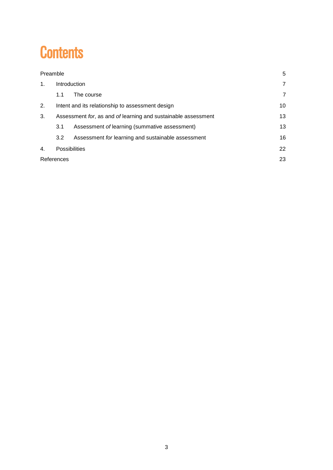### **Contents**

| Preamble   |                                                               |                                                    |                |  |  |  |
|------------|---------------------------------------------------------------|----------------------------------------------------|----------------|--|--|--|
| 1.         | Introduction                                                  |                                                    |                |  |  |  |
|            | 1.1                                                           | The course                                         | $\overline{7}$ |  |  |  |
| 2.         | 10<br>Intent and its relationship to assessment design        |                                                    |                |  |  |  |
| 3.         | Assessment for, as and of learning and sustainable assessment |                                                    |                |  |  |  |
|            | 3.1                                                           | Assessment of learning (summative assessment)      | 13             |  |  |  |
|            | 3.2                                                           | Assessment for learning and sustainable assessment | 16             |  |  |  |
| 4.         | <b>Possibilities</b>                                          |                                                    |                |  |  |  |
| References | 23                                                            |                                                    |                |  |  |  |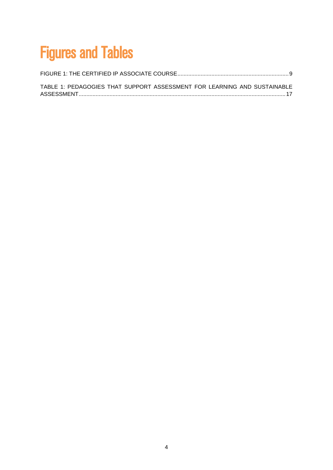## Figures and Tables

| TABLE 1: PEDAGOGIES THAT SUPPORT ASSESSMENT FOR LEARNING AND SUSTAINABLE |  |
|--------------------------------------------------------------------------|--|
|                                                                          |  |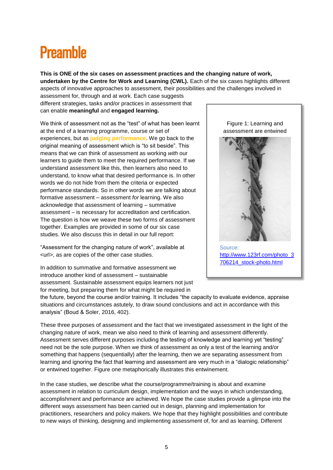### <span id="page-4-0"></span>**Preamhle**

**This is ONE of the six cases on assessment practices and the changing nature of work, undertaken by the Centre for Work and Learning (CWL).** Each of the six cases highlights different aspects of innovative approaches to assessment, their possibilities and the challenges involved in

assessment for, through and at work. Each case suggests different strategies, tasks and/or practices in assessment that can enable **meaningful** and **engaged learning.** 

We think of assessment not as the "test" of what has been learnt at the end of a learning programme, course or set of experiences, but as **judging performance**. We go back to the original meaning of assessment which is "to sit beside". This means that we can think of assessment as working *with* our learners to guide them to meet the required performance. If we understand assessment like this, then learners also need to understand, to know what that desired performance is. In other words we do not hide from them the criteria or expected performance standards. So in other words we are talking about formative assessment – assessment *for* learning. We also acknowledge that assessment of learning – summative assessment – is necessary for accreditation and certification. The question is how we weave these two forms of assessment together. Examples are provided in some of our six case studies. We also discuss this in detail in our full report:

"Assessment for the changing nature of work", available at <url>, as are copies of the other case studies.

In addition to summative and formative assessment we introduce another kind of assessment – sustainable assessment. Sustainable assessment equips learners not just for meeting, but preparing them for what might be required in

assessment are entwined

Figure 1: Learning and



Source: [http://www.123rf.com/photo\\_3](http://www.123rf.com/photo_3706214_stock-photo.html) [706214\\_stock-photo.html](http://www.123rf.com/photo_3706214_stock-photo.html)

the future, beyond the course and/or training. It includes "the capacity to evaluate evidence, appraise situations and circumstances astutely, to draw sound conclusions and act in accordance with this analysis" (Boud & Soler, 2016, 402).

These three purposes of assessment and the fact that we investigated assessment in the light of the changing nature of work, mean we also need to think of learning and assessment differently. Assessment serves different purposes including the testing of knowledge and learning yet "testing" need not be the sole purpose. When we think of assessment as only a test of the learning and/or something that happens (sequentially) after the learning, then we are separating assessment from learning and ignoring the fact that learning and assessment are very much in a "dialogic relationship" or entwined together. Figure one metaphorically illustrates this entwinement.

In the case studies, we describe what the course/programme/training is about and examine assessment in relation to curriculum design, implementation and the ways in which understanding, accomplishment and performance are achieved. We hope the case studies provide a glimpse into the different ways assessment has been carried out in design, planning and implementation for practitioners, researchers and policy makers. We hope that they highlight possibilities and contribute to new ways of thinking, designing and implementing assessment of, for and as learning. Different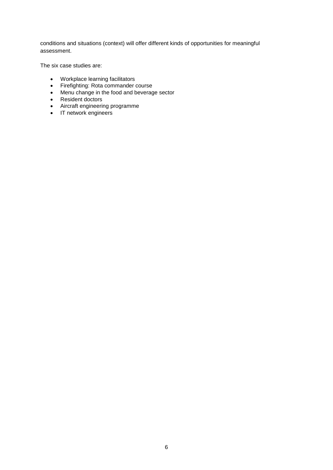conditions and situations (context) will offer different kinds of opportunities for meaningful assessment.

The six case studies are:

- Workplace learning facilitators
- Firefighting: Rota commander course
- Menu change in the food and beverage sector
- Resident doctors
- Aircraft engineering programme
- IT network engineers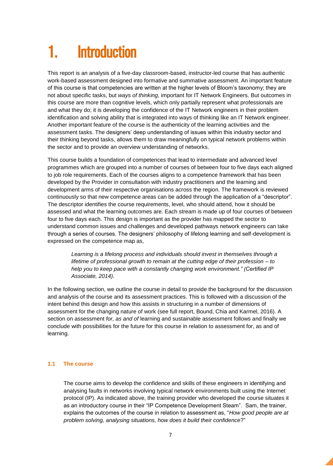### <span id="page-6-0"></span>**Introduction**

This report is an analysis of a five-day classroom-based, instructor-led course that has authentic work-based assessment designed into formative and summative assessment. An important feature of this course is that competencies are written at the higher levels of Bloom's taxonomy; they are not about specific tasks, but *ways of thinking*, important for IT Network Engineers. But outcomes in this course are more than cognitive levels, which only partially represent what professionals are and what they do; it is developing the confidence of the IT Network engineers in their problem identification and solving ability that is integrated into ways of thinking like an IT Network engineer. Another important feature of the course is the authenticity of the learning activities and the assessment tasks. The designers' deep understanding of issues within this industry sector and their thinking beyond tasks, allows them to draw meaningfully on typical network problems within the sector and to provide an overview understanding of networks.

This course builds a foundation of competences that lead to intermediate and advanced level programmes which are grouped into a number of courses of between four to five days each aligned to job role requirements. Each of the courses aligns to a competence framework that has been developed by the Provider in consultation with industry practitioners and the learning and development arms of their respective organisations across the region. The framework is reviewed continuously so that new competence areas can be added through the application of a "descriptor". The descriptor identifies the course requirements, level, who should attend, how it should be assessed and what the learning outcomes are. Each stream is made up of four courses of between four to five days each. This design is important as the provider has mapped the sector to understand common issues and challenges and developed pathways network engineers can take through a series of courses. The designers' philosophy of lifelong learning and self-development is expressed on the competence map as,

*Learning is a lifelong process and individuals should invest in themselves through a lifetime of professional growth to remain at the cutting edge of their profession – to help you to keep pace with a constantly changing work environment." (Certified IP Associate, 2014).*

In the following section, we outline the course in detail to provide the background for the discussion and analysis of the course and its assessment practices. This is followed with a discussion of the intent behind this design and how this assists in structuring in a number of dimensions of assessment for the changing nature of work (see full report, Bound, Chia and Karmel, 2016). A section on assessment *for, as and of* learning and sustainable assessment follows and finally we conclude with possibilities for the future for this course in relation to assessment for, as and of learning.

#### <span id="page-6-1"></span>**1.1 The course**

The course aims to develop the confidence and skills of these engineers in identifying and analysing faults in networks involving typical network environments built using the Internet protocol (IP). As indicated above, the training provider who developed the course situates it as an introductory course in their "IP Competence Development Steam". Sam, the trainer, explains the outcomes of the course in relation to assessment as, "*How good people are at problem solving, analysing situations, how does it build their confidence*?"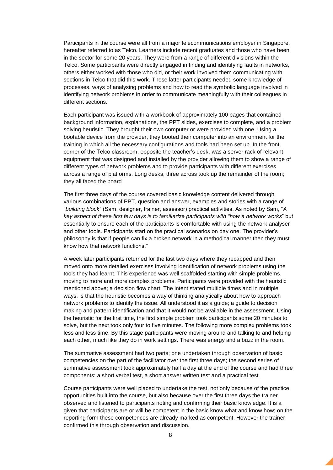Participants in the course were all from a major telecommunications employer in Singapore, hereafter referred to as Telco. Learners include recent graduates and those who have been in the sector for some 20 years. They were from a range of different divisions within the Telco. Some participants were directly engaged in finding and identifying faults in networks, others either worked with those who did, or their work involved them communicating with sections in Telco that did this work. These latter participants needed some knowledge of processes, ways of analysing problems and how to read the symbolic language involved in identifying network problems in order to communicate meaningfully with their colleagues in different sections.

Each participant was issued with a workbook of approximately 100 pages that contained background information, explanations, the PPT slides, exercises to complete, and a problem solving heuristic. They brought their own computer or were provided with one. Using a bootable device from the provider, they booted their computer into an environment for the training in which all the necessary configurations and tools had been set up. In the front corner of the Telco classroom, opposite the teacher's desk, was a server rack of relevant equipment that was designed and installed by the provider allowing them to show a range of different types of network problems and to provide participants with different exercises across a range of platforms. Long desks, three across took up the remainder of the room; they all faced the board.

The first three days of the course covered basic knowledge content delivered through various combinations of PPT, question and answer, examples and stories with a range of "*building block*" (Sam, designer, trainer, assessor) practical activities. As noted by Sam, "*A key aspect of these first few days is to familiarize participants with "how a network works*" but essentially to ensure each of the participants is comfortable with using the network analyser and other tools. Participants start on the practical scenarios on day one. The provider's philosophy is that if people can fix a broken network in a methodical manner then they must know how that network functions."

A week later participants returned for the last two days where they recapped and then moved onto more detailed exercises involving identification of network problems using the tools they had learnt. This experience was well scaffolded starting with simple problems, moving to more and more complex problems. Participants were provided with the heuristic mentioned above; a decision flow chart. The intent stated multiple times and in multiple ways, is that the heuristic becomes a way of thinking analytically about how to approach network problems to identify the issue. All understood it as a guide; a guide to decision making and pattern identification and that it would not be available in the assessment. Using the heuristic for the first time, the first simple problem took participants some 20 minutes to solve, but the next took only four to five minutes. The following more complex problems took less and less time. By this stage participants were moving around and talking to and helping each other, much like they do in work settings. There was energy and a buzz in the room.

The summative assessment had two parts; one undertaken through observation of basic competencies on the part of the facilitator over the first three days; the second series of summative assessment took approximately half a day at the end of the course and had three components: a short verbal test, a short answer written test and a practical test.

Course participants were well placed to undertake the test, not only because of the practice opportunities built into the course, but also because over the first three days the trainer observed and listened to participants noting and confirming their basic knowledge. It is a given that participants are or will be competent in the basic know what and know how; on the reporting form these competences are already marked as competent. However the trainer confirmed this through observation and discussion.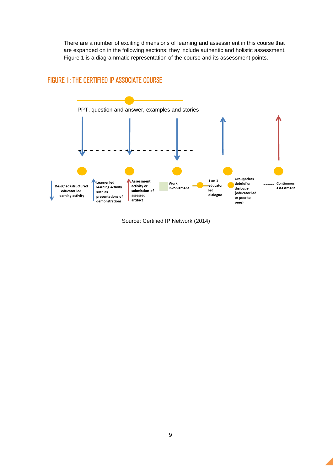There are a number of exciting dimensions of learning and assessment in this course that are expanded on in the following sections; they include authentic and holistic assessment. Figure 1 is a diagrammatic representation of the course and its assessment points.

#### <span id="page-8-0"></span>FIGURE 1: THE CERTIFIED IP ASSOCIATE COURSE



Source: Certified IP Network (2014)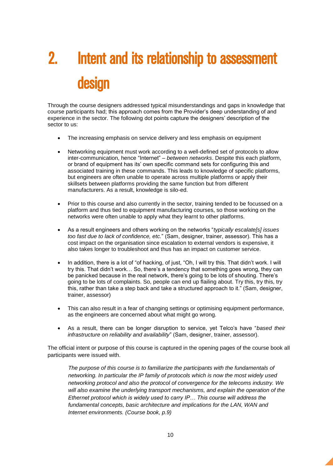# <span id="page-9-0"></span>2. Intent and its relationship to assessment design

Through the course designers addressed typical misunderstandings and gaps in knowledge that course participants had; this approach comes from the Provider's deep understanding of and experience in the sector. The following dot points capture the designers' description of the sector to us:

- The increasing emphasis on service delivery and less emphasis on equipment
- Networking equipment must work according to a well-defined set of protocols to allow inter-communication, hence "Internet" *– between networks*. Despite this each platform, or brand of equipment has its' own specific command sets for configuring this and associated training in these commands. This leads to knowledge of specific platforms, but engineers are often unable to operate across multiple platforms or apply their skillsets between platforms providing the same function but from different manufacturers. As a result, knowledge is silo-ed.
- Prior to this course and also currently in the sector, training tended to be focussed on a platform and thus tied to equipment manufacturing courses, so those working on the networks were often unable to apply what they learnt to other platforms.
- As a result engineers and others working on the networks "*typically escalate[s] issues too fast due to lack of confidence, etc.*" (Sam, designer, trainer, assessor). This has a cost impact on the organisation since escalation to external vendors is expensive, it also takes longer to troubleshoot and thus has an impact on customer service.
- In addition, there is a lot of "of hacking, of just, "Oh, I will try this. That didn't work. I will try this. That didn't work… So, there's a tendency that something goes wrong, they can be panicked because in the real network, there's going to be lots of shouting. There's going to be lots of complaints. So, people can end up flailing about. Try this, try this, try this, rather than take a step back and take a structured approach to it." (Sam, designer, trainer, assessor)
- This can also result in a fear of changing settings or optimising equipment performance, as the engineers are concerned about what might go wrong.
- As a result, there can be longer disruption to service, yet Telco's have "*based their infrastructure on reliability and availability*" (Sam, designer, trainer, assessor).

The official intent or purpose of this course is captured in the opening pages of the course book all participants were issued with.

*The purpose of this course is to familiarize the participants with the fundamentals of networking. In particular the IP family of protocols which is now the most widely used networking protocol and also the protocol of convergence for the telecoms industry. We will also examine the underlying transport mechanisms, and explain the operation of the Ethernet protocol which is widely used to carry IP… This course will address the fundamental concepts, basic architecture and implications for the LAN, WAN and Internet environments. (Course book, p.9)*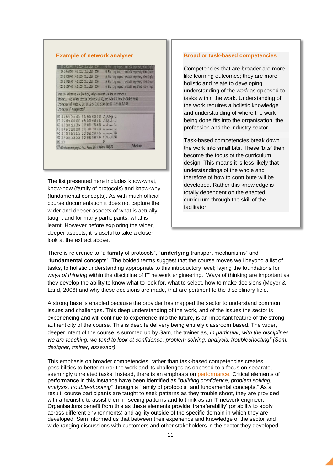|      |                         |                                     | <b>COLLEGENT 19.1.2.2.4 10.5.2.25</b>                | 109        |                                                                                                                                                                                                  | SB 5000 (comp) request 10-003094, sep-8/2048, ttl. 54 (rep)  |
|------|-------------------------|-------------------------------------|------------------------------------------------------|------------|--------------------------------------------------------------------------------------------------------------------------------------------------------------------------------------------------|--------------------------------------------------------------|
|      |                         |                                     | 806 0.627242000 10.1.2.215 10.1.2.214                | IOP        |                                                                                                                                                                                                  | 98 Etho (pang) reply ad=0x3d94, seq=8/2048, ttl=64 (reques   |
|      |                         |                                     | 1047 1.62686000 10.1.2.214 10.1.2.215                | IOP        |                                                                                                                                                                                                  | 98 Echo (pang) request 1d=0x3d94, seq=9/2304, ttl=64 (reply  |
|      |                         |                                     | 1048 1.827231000 10.1.2.215 10.1.2.214               | IOP        |                                                                                                                                                                                                  | 98 Echo (pang) reply ad=0x3d34, sep=9/2304, ttl=64 (reques-  |
|      |                         |                                     | 1232 2.826973000 10.1.2.214 10.1.2.215               | <b>TOD</b> |                                                                                                                                                                                                  | 98 Echo (ping) request 1d=0x3d94, seq=10/2560, ttl=64 (reply |
|      |                         | - Internet Control Message Protocol |                                                      |            | Ethernet II, Src; HewlettP 5c:25:0e (c4:34:6b;5c:25:0e), Ost: HewlettP 5f:9e:4d (c4:34:6b:5f:9e:4d)<br>- Internet Protocol Version 4, Src: 10.1.2.214 (10.1.2.214), Ost: 10.1.2.215 (10.1.2.215) |                                                              |
| 030  |                         |                                     | 0 3 4 5 5 9 4 4 34 5 5 6 8 8 9 5 0                   |            | .4 . M. 4 kl3  E.                                                                                                                                                                                |                                                              |
|      |                         |                                     | 0010 00 54 6d 9d 40 00 40 01 63 5d 0a 01 02 66 0a 01 |            | $[T, 0, 0, \ldots]$                                                                                                                                                                              |                                                              |
| 000  |                         |                                     | 02 07 08 08 02 29 3d 94 09 08 90 11 07 54 00 00      |            |                                                                                                                                                                                                  |                                                              |
| OGO. | 00 00 ab 12 06 00 00 00 |                                     | 00 00 10 11 12 13 14 15                              |            | mini mini                                                                                                                                                                                        |                                                              |
|      |                         |                                     | 0040 16 17 18 19 18 1b 1c 1d 1e 1f 20 21 22 23 24 25 |            | $6$ <sup>(<math>4</math></sup> , $.012345$                                                                                                                                                       |                                                              |
|      | 060 36 37               |                                     | 0050 25 27 28 29 29 26 26 26 26 27 38 31 32 33 34 35 |            | $\overline{\kappa}$                                                                                                                                                                              | Profile: Default                                             |

The list presented here includes know-what, know-how (family of protocols) and know-why (fundamental concepts). As with much official course documentation it does not capture the wider and deeper aspects of what is actually taught and for many participants, what is learnt. However before exploring the wider, deeper aspects, it is useful to take a closer look at the extract above.

#### **Broad or task-based competencies**

Competencies that are broader are more like learning outcomes; they are more holistic and relate to developing understanding of the *work* as opposed to tasks within the work. Understanding of the work requires a holistic knowledge and understanding of where the work being done fits into the organisation, the profession and the industry sector.

Task-based competencies break down the work into small bits. These 'bits' then become the focus of the curriculum design. This means it is less likely that understandings of the whole and therefore of how to contribute will be developed. Rather this knowledge is totally dependent on the enacted curriculum through the skill of the facilitator.

There is reference to "a **family** of protocols", "**underlying** transport mechanisms" and "**fundamental** concepts". The bolded terms suggest that the course moves well beyond a list of tasks, to holistic understanding appropriate to this introductory level; laying the foundations for *ways of thinking* within the discipline of IT network engineering. Ways of thinking are important as they develop the ability to know what to look for, what to select, how to make decisions (Meyer & Land, 2006) and why these decisions are made, that are pertinent to the disciplinary field.

A strong base is enabled because the provider has mapped the sector to understand common issues and challenges. This deep understanding of the work, and of the issues the sector is experiencing and will continue to experience into the future, is an important feature of the strong authenticity of the course. This is despite delivery being entirely classroom based. The wider, deeper intent of the course is summed up by Sam, the trainer as, *In particular, with the disciplines we are teaching, we tend to look at confidence, problem solving, analysis, troubleshooting" (Sam, designer, trainer, assessor)*

This emphasis on broader competencies, rather than task-based competencies creates possibilities to better mirror the work and its challenges as opposed to a focus on separate, seemingly unrelated tasks. Instead, there is an emphasis on performance. Critical elements of performance in this instance have been identified as "*building confidence, problem solving, analysis, trouble-shooting*" through a "family of protocols" and fundamental concepts." As a result, course participants are taught to seek patterns as they trouble shoot, they are provided with a heuristic to assist them in seeing patterns and to think as an IT network engineer. Organisations benefit from this as these elements provide 'transferability' (or ability to apply across different environments) and agility outside of the specific domain in which they are developed. Sam informed us that between their experience and knowledge of the sector and wide ranging discussions with customers and other stakeholders in the sector they developed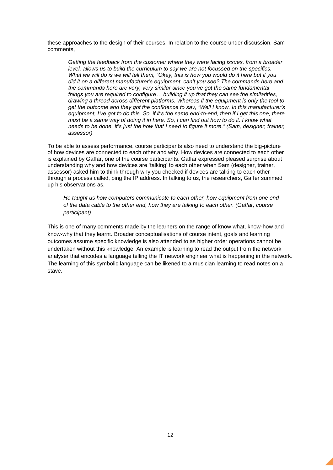these approaches to the design of their courses. In relation to the course under discussion, Sam comments,

*Getting the feedback from the customer where they were facing issues, from a broader level, allows us to build the curriculum to say we are not focussed on the specifics. What we will do is we will tell them, "Okay, this is how you would do it here but if you did it on a different manufacturer's equipment, can't you see? The commands here and the commands here are very, very similar since you've got the same fundamental things you are required to configure… building it up that they can see the similarities, drawing a thread across different platforms. Whereas if the equipment is only the tool to get the outcome and they got the confidence to say, "Well I know. In this manufacturer's equipment, I've got to do this. So, if it's the same end-to-end, then if I get this one, there must be a same way of doing it in here. So, I can find out how to do it. I know what needs to be done. It's just the how that I need to figure it more." (Sam, designer, trainer, assessor)*

To be able to assess performance, course participants also need to understand the big-picture of how devices are connected to each other and why. How devices are connected to each other is explained by Gaffar, one of the course participants. Gaffar expressed pleased surprise about understanding why and how devices are 'talking' to each other when Sam (designer, trainer, assessor) asked him to think through why you checked if devices are talking to each other through a process called, ping the IP address. In talking to us, the researchers, Gaffer summed up his observations as,

*He taught us how computers communicate to each other, how equipment from one end of the data cable to the other end, how they are talking to each other. (Gaffar, course participant)* 

This is one of many comments made by the learners on the range of know what, know-how and know-why that they learnt. Broader conceptualisations of course intent, goals and learning outcomes assume specific knowledge is also attended to as higher order operations cannot be undertaken without this knowledge. An example is learning to read the output from the network analyser that encodes a language telling the IT network engineer what is happening in the network. The learning of this symbolic language can be likened to a musician learning to read notes on a stave.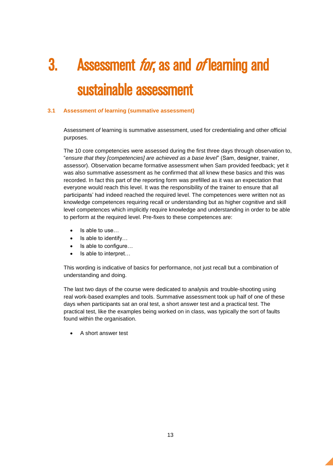## <span id="page-12-0"></span>3. Assessment *for*, as and *of* learning and sustainable assessment

#### <span id="page-12-1"></span>**3.1 Assessment** *of* **learning (summative assessment)**

Assessment *of* learning is summative assessment, used for credentialing and other official purposes.

The 10 core competencies were assessed during the first three days through observation to, "*ensure that they [competencies] are achieved as a base level*" (Sam, designer, trainer, assessor). Observation became formative assessment when Sam provided feedback; yet it was also summative assessment as he confirmed that all knew these basics and this was recorded. In fact this part of the reporting form was prefilled as it was an expectation that everyone would reach this level. It was the responsibility of the trainer to ensure that all participants' had indeed reached the required level. The competences were written not as knowledge competences requiring recall or understanding but as higher cognitive and skill level competences which implicitly require knowledge and understanding in order to be able to perform at the required level. Pre-fixes to these competences are:

- Is able to use…
- Is able to identify…
- Is able to configure…
- Is able to interpret…

This wording is indicative of basics for performance, not just recall but a combination of understanding and doing.

The last two days of the course were dedicated to analysis and trouble-shooting using real work-based examples and tools. Summative assessment took up half of one of these days when participants sat an oral test, a short answer test and a practical test. The practical test, like the examples being worked on in class, was typically the sort of faults found within the organisation.

A short answer test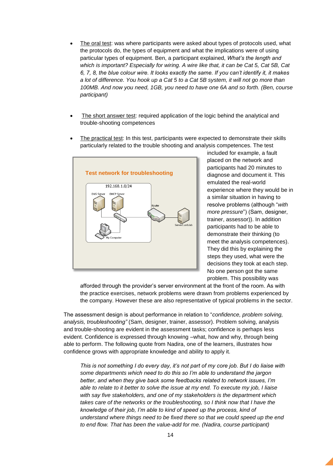- The oral test: was where participants were asked about types of protocols used, what the protocols do, the types of equipment and what the implications were of using particular types of equipment. Ben, a participant explained, *What's the length and which is important? Especially for wiring. A wire like that, it can be Cat 5, Cat 5B, Cat 6, 7, 8, the blue colour wire. It looks exactly the same. If you can't identify it, it makes a lot of difference. You hook up a Cat 5 to a Cat 5B system, it will not go more than 100MB. And now you need, 1GB, you need to have one 6A and so forth. (Ben, course participant)*
- The short answer test: required application of the logic behind the analytical and trouble-shooting competences
- The practical test: In this test, participants were expected to demonstrate their skills particularly related to the trouble shooting and analysis competences. The test



included for example, a fault placed on the network and participants had 20 minutes to diagnose and document it. This emulated the real-world experience where they would be in a similar situation in having to resolve problems (although "*with more pressure*") (Sam, designer, trainer, assessor)). In addition participants had to be able to demonstrate their thinking (to meet the analysis competences). They did this by explaining the steps they used, what were the decisions they took at each step. No one person got the same problem. This possibility was

afforded through the provider's server environment at the front of the room. As with the practice exercises, network problems were drawn from problems experienced by the company. However these are also representative of typical problems in the sector.

The assessment design is about performance in relation to "*confidence, problem solving, analysis, troubleshooting"* (Sam, designer, trainer, assessor). Problem solving, analysis and trouble-shooting are evident in the assessment tasks; confidence is perhaps less evident. Confidence is expressed through knowing –what, how and why, through being able to perform. The following quote from Nadira, one of the learners, illustrates how confidence grows with appropriate knowledge and ability to apply it.

*This is not something I do every day, it's not part of my core job. But I do liaise with some departments which need to do this so I'm able to understand the jargon better, and when they give back some feedbacks related to network issues, I'm able to relate to it better to solve the issue at my end. To execute my job, I liaise with say five stakeholders, and one of my stakeholders is the department which takes care of the networks or the troubleshooting, so I think now that I have the knowledge of their job, I'm able to kind of speed up the process, kind of understand where things need to be fixed there so that we could speed up the end to end flow. That has been the value-add for me. (Nadira, course participant)*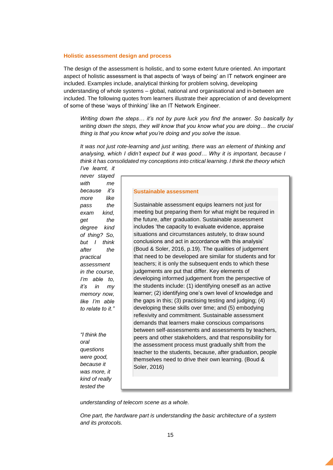#### **Holistic assessment design and process**

The design of the assessment is holistic, and to some extent future oriented. An important aspect of holistic assessment is that aspects of 'ways of being' an IT network engineer are included. Examples include, analytical thinking for problem solving, developing understanding of whole systems – global, national and organisational and in-between are included. The following quotes from learners illustrate their appreciation of and development of some of these 'ways of thinking' like an IT Network Engineer.

*Writing down the steps… it's not by pure luck you find the answer. So basically by writing down the steps, they will know that you know what you are doing… the crucial thing is that you know what you're doing and you solve the issue.*

*It was not just rote-learning and just writing, there was an element of thinking and analysing, which I didn't expect but it was good… Why it is important, because I think it has consolidated my conceptions into critical learning. I think the theory which I've learnt, it* 

*never stayed with me because it's more like pass the exam kind, get the degree kind of thing? So, but I think after the practical assessment in the course, I'm able to, it's in my memory now, like I'm able to relate to it."*

*"I think the oral questions were good, because it was more, it kind of really tested the* 

#### **Sustainable assessment**

Sustainable assessment equips learners not just for meeting but preparing them for what might be required in the future, after graduation. Sustainable assessment includes 'the capacity to evaluate evidence, appraise situations and circumstances astutely, to draw sound conclusions and act in accordance with this analysis' (Boud & Soler, 2016, p.19). The qualities of judgement that need to be developed are similar for students and for teachers; it is only the subsequent ends to which these judgements are put that differ. Key elements of developing informed judgement from the perspective of the students include: (1) identifying oneself as an active learner; (2) identifying one's own level of knowledge and the gaps in this; (3) practising testing and judging; (4) developing these skills over time; and (5) embodying reflexivity and commitment. Sustainable assessment demands that learners make conscious comparisons between self-assessments and assessments by teachers, peers and other stakeholders, and that responsibility for the assessment process must gradually shift from the teacher to the students, because, after graduation, people themselves need to drive their own learning. (Boud & Soler, 2016)

*understanding of telecom scene as a whole.*

*One part, the hardware part is understanding the basic architecture of a system and its protocols.*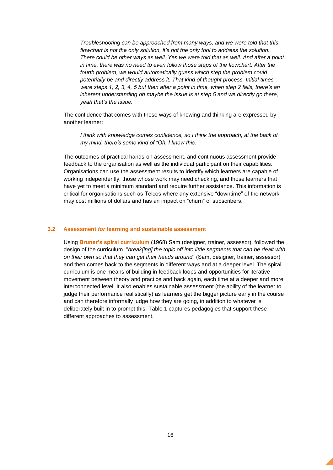*Troubleshooting can be approached from many ways, and we were told that this flowchart is not the only solution, it's not the only tool to address the solution. There could be other ways as well. Yes we were told that as well. And after a point in time, there was no need to even follow those steps of the flowchart. After the fourth problem, we would automatically guess which step the problem could potentially be and directly address it. That kind of thought process. Initial times were steps 1, 2, 3, 4, 5 but then after a point in time, when step 2 fails, there's an inherent understanding oh maybe the issue is at step 5 and we directly go there, yeah that's the issue.* 

The confidence that comes with these ways of knowing and thinking are expressed by another learner:

*I think with knowledge comes confidence, so I think the approach, at the back of my mind, there's some kind of "Oh, I know this.* 

The outcomes of practical hands-on assessment, and continuous assessment provide feedback to the organisation as well as the individual participant on their capabilities. Organisations can use the assessment results to identify which learners are capable of working independently, those whose work may need checking, and those learners that have yet to meet a minimum standard and require further assistance. This information is critical for organisations such as Telcos where any extensive "downtime" of the network may cost millions of dollars and has an impact on "churn" of subscribers.

#### <span id="page-15-0"></span>**3.2 Assessment** *for* **learning and sustainable assessment**

Using **Bruner's spiral curriculum** (1968) Sam (designer, trainer, assessor), followed the design of the curriculum, "*break[ing] the topic off into little segments that can be dealt with on their own so that they can get their heads around*" (Sam, designer, trainer, assessor) and then comes back to the segments in different ways and at a deeper level. The spiral curriculum is one means of building in feedback loops and opportunities for iterative movement between theory and practice and back again, each time at a deeper and more interconnected level. It also enables sustainable assessment (the ability of the learner to judge their performance realistically) as learners get the bigger picture early in the course and can therefore informally judge how they are going, in addition to whatever is deliberately built in to prompt this. Table 1 captures pedagogies that support these different approaches to assessment.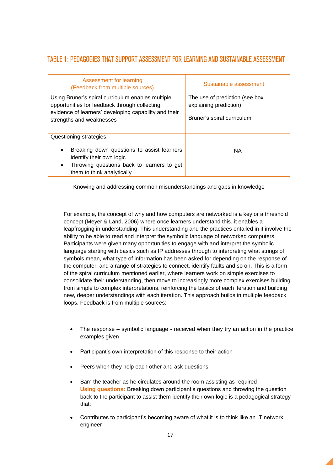#### <span id="page-16-0"></span>TABLE 1: PEDAGOGIES THAT SUPPORT ASSESSMENT FOR LEARNING AND SUSTAINABLE ASSESSMENT

| Assessment for learning<br>(Feedback from multiple sources)                                                                                                                                     | Sustainable assessment                                                                 |
|-------------------------------------------------------------------------------------------------------------------------------------------------------------------------------------------------|----------------------------------------------------------------------------------------|
| Using Bruner's spiral curriculum enables multiple<br>opportunities for feedback through collecting<br>evidence of learners' developing capability and their<br>strengths and weaknesses         | The use of prediction (see box<br>explaining prediction)<br>Bruner's spiral curriculum |
| Questioning strategies:<br>Breaking down questions to assist learners<br>$\bullet$<br>identify their own logic<br>Throwing questions back to learners to get<br>٠<br>them to think analytically | <b>NA</b>                                                                              |

Knowing and addressing common misunderstandings and gaps in knowledge

For example, the concept of why and how computers are networked is a key or a threshold concept (Meyer & Land, 2006) where once learners understand this, it enables a leapfrogging in understanding. This understanding and the practices entailed in it involve the ability to be able to read and interpret the symbolic language of networked computers. Participants were given many opportunities to engage with and interpret the symbolic language starting with basics such as IP addresses through to interpreting what strings of symbols mean, what type of information has been asked for depending on the response of the computer, and a range of strategies to connect, identify faults and so on. This is a form of the spiral curriculum mentioned earlier, where learners work on simple exercises to consolidate their understanding, then move to increasingly more complex exercises building from simple to complex interpretations, reinforcing the basics of each iteration and building new, deeper understandings with each iteration. This approach builds in multiple feedback loops. Feedback is from multiple sources:

- The response symbolic language received when they try an action in the practice examples given
- Participant's own interpretation of this response to their action
- Peers when they help each other and ask questions
- Sam the teacher as he circulates around the room assisting as required **Using questions:** Breaking down participant's questions and throwing the question back to the participant to assist them identify their own logic is a pedagogical strategy that:
- Contributes to participant's becoming aware of what it is to think like an IT network engineer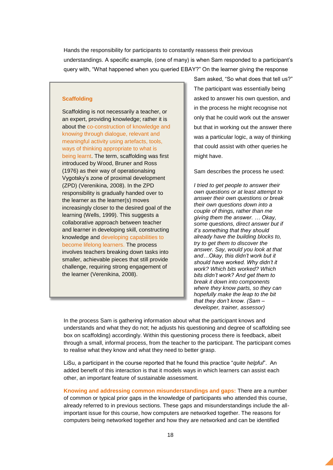Hands the responsibility for participants to constantly reassess their previous understandings. A specific example, (one of many) is when Sam responded to a participant's query with, "What happened when you queried EBAY?" On the learner giving the response

#### **Scaffolding**

Scaffolding is not necessarily a teacher, or an expert, providing knowledge; rather it is about the co-construction of knowledge and know*ing* through dialogue, relevant and meaningful activity using artefacts, tools, ways of thinking appropriate to what is being learnt. The term, scaffolding was first introduced by Wood, Bruner and Ross (1976) as their way of operationalsing Vygotsky's zone of proximal development (ZPD) (Verenikina, 2008). In the ZPD responsibility is gradually handed over to the learner as the learner(s) moves increasingly closer to the desired goal of the learning (Wells, 1999). This suggests a collaborative approach between teacher and learner in developing skill, constructing knowledge and developing capabilities to become lifelong learners. The process involves teachers breaking down tasks into smaller, achievable pieces that still provide challenge, requiring strong engagement of the learner (Verenikina, 2008).

Sam asked, "So what does that tell us?" The participant was essentially being asked to answer his own question, and in the process he might recognise not only that he could work out the answer but that in working out the answer there was a particular logic, a way of thinking that could assist with other queries he might have.

Sam describes the process he used:

*I tried to get people to answer their own questions or at least attempt to answer their own questions or break their own questions down into a couple of things, rather than me giving them the answer. … Okay, some questions, direct answer but if it's something that they should already have the building blocks to, try to get them to discover the answer. Say, would you look at that and…Okay, this didn't work but it should have worked. Why didn't it work? Which bits worked? Which bits didn't work? And get them to break it down into components where they know parts, so they can hopefully make the leap to the bit that they don't know. (Sam – developer, trainer, assessor)*

In the process Sam is gathering information about what the participant knows and understands and what they do not; he adjusts his questioning and degree of scaffolding see box on scaffolding) accordingly. Within this questioning process there is feedback, albeit through a small, informal process, from the teacher to the participant. The participant comes to realise what they know and what they need to better grasp.

LiSu, a participant in the course reported that he found this practice "*quite helpful*". An added benefit of this interaction is that it models ways in which learners can assist each other, an important feature of sustainable assessment.

**Knowing and addressing common misunderstandings and gaps:** There are a number of common or typical prior gaps in the knowledge of participants who attended this course, already referred to in previous sections. These gaps and misunderstandings include the allimportant issue for this course, how computers are networked together. The reasons for computers being networked together and how they are networked and can be identified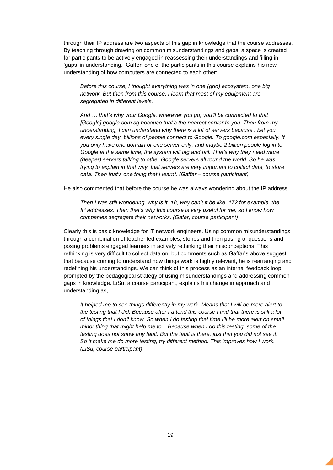through their IP address are two aspects of this gap in knowledge that the course addresses. By teaching through drawing on common misunderstandings and gaps, a space is created for participants to be actively engaged in reassessing their understandings and filling in 'gaps' in understanding. Gaffer, one of the participants in this course explains his new understanding of how computers are connected to each other:

*Before this course, I thought everything was in one (grid) ecosystem, one big network. But then from this course, I learn that most of my equipment are segregated in different levels.*

*And … that's why your Google, wherever you go, you'll be connected to that [Google] google.com.sg because that's the nearest server to you. Then from my understanding, I can understand why there is a lot of servers because I bet you every single day, billions of people connect to Google. To google.com especially. If you only have one domain or one server only, and maybe 2 billion people log in to Google at the same time, the system will lag and fail. That's why they need more (deeper) servers talking to other Google servers all round the world. So he was trying to explain in that way, that servers are very important to collect data, to store data. Then that's one thing that I learnt. (Gaffar – course participant)*

He also commented that before the course he was always wondering about the IP address.

*Then I was still wondering, why is it .18, why can't it be like .172 for example, the IP addresses. Then that's why this course is very useful for me, so I know how companies segregate their networks. (Gafar, course participant)*

Clearly this is basic knowledge for IT network engineers. Using common misunderstandings through a combination of teacher led examples, stories and then posing of questions and posing problems engaged learners in actively rethinking their misconceptions. This rethinking is very difficult to collect data on, but comments such as Gaffar's above suggest that because coming to understand how things work is highly relevant, he is rearranging and redefining his understandings. We can think of this process as an internal feedback loop prompted by the pedagogical strategy of using misunderstandings and addressing common gaps in knowledge. LiSu, a course participant, explains his change in approach and understanding as,

*It helped me to see things differently in my work. Means that I will be more alert to the testing that I did. Because after I attend this course I find that there is still a lot of things that I don't know. So when I do testing that time I'll be more alert on small minor thing that might help me to... Because when I do this testing, some of the testing does not show any fault. But the fault is there, just that you did not see it. So it make me do more testing, try different method. This improves how I work. (LiSu, course participant)*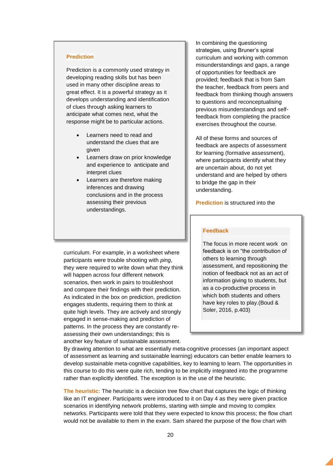#### **Prediction**

Prediction is a commonly used strategy in developing reading skills but has been used in many other discipline areas to great effect. It is a powerful strategy as it develops understanding and identification of clues through asking learners to anticipate what comes next, what the response might be to particular actions.

- Learners need to read and understand the clues that are given
- Learners draw on prior knowledge and experience to anticipate and interpret clues
- Learners are therefore making inferences and drawing conclusions and in the process assessing their previous understandings.

In combining the questioning strategies, using Bruner's spiral curriculum and working with common misunderstandings and gaps, a range of opportunities for feedback are provided; feedback that is from Sam the teacher, feedback from peers and feedback from thinking though answers to questions and reconceptualising previous misunderstandings and selffeedback from completing the practice exercises throughout the course.

All of these forms and sources of feedback are aspects of assessment *for* learning (formative assessment), where participants identify what they are uncertain about, do not yet understand and are helped by others to bridge the gap in their understanding.

**Prediction** is structured into the

#### **Feedback**

The focus in more recent work on feedback is on "the contribution of others to learning through assessment, and repositioning the notion of feedback not as an act of information giving to students, but as a co-productive process in which both students and others have key roles to play.(Boud & Soler, 2016, p.403)

curriculum. For example, in a worksheet where participants were trouble shooting with *ping*, they were required to write down what they think will happen across four different network scenarios, then work in pairs to troubleshoot and compare their findings with their prediction. As indicated in the box on prediction, prediction engages students, requiring them to think at quite high levels. They are actively and strongly engaged in sense-making and prediction of patterns. In the process they are constantly reassessing their own understandings; this is another key feature of sustainable assessment.

By drawing attention to what are essentially meta-cognitive processes (an important aspect of assessment as learning and sustainable learning) educators can better enable learners to develop sustainable meta-cognitive capabilities, key to learning to learn. The opportunities in this course to do this were quite rich, tending to be implicitly integrated into the programme rather than explicitly identified. The exception is in the use of the heuristic.

**The heuristic:** The heuristic is a decision tree flow chart that captures the logic of thinking like an IT engineer. Participants were introduced to it on Day 4 as they were given practice scenarios in identifying network problems, starting with simple and moving to complex networks. Participants were told that they were expected to know this process; the flow chart would not be available to them in the exam. Sam shared the purpose of the flow chart with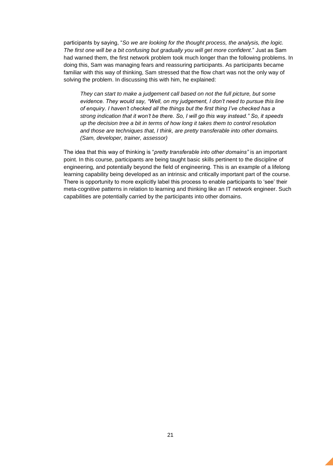participants by saying, "*So we are looking for the thought process, the analysis, the logic. The first one will be a bit confusing but gradually you will get more confident*." Just as Sam had warned them, the first network problem took much longer than the following problems. In doing this, Sam was managing fears and reassuring participants. As participants became familiar with this way of thinking, Sam stressed that the flow chart was not the only way of solving the problem. In discussing this with him, he explained:

*They can start to make a judgement call based on not the full picture, but some evidence. They would say, "Well, on my judgement, I don't need to pursue this line of enquiry. I haven't checked all the things but the first thing I've checked has a strong indication that it won't be there. So, I will go this way instead." So, it speeds up the decision tree a bit in terms of how long it takes them to control resolution and those are techniques that, I think, are pretty transferable into other domains. (Sam, developer, trainer, assessor)*

The idea that this way of thinking is "*pretty transferable into other domains"* is an important point. In this course, participants are being taught basic skills pertinent to the discipline of engineering, and potentially beyond the field of engineering. This is an example of a lifelong learning capability being developed as an intrinsic and critically important part of the course. There is opportunity to more explicitly label this process to enable participants to 'see' their meta-cognitive patterns in relation to learning and thinking like an IT network engineer. Such capabilities are potentially carried by the participants into other domains.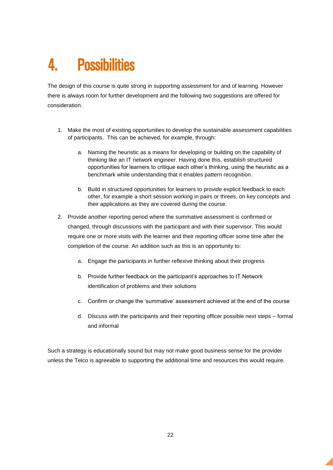## <span id="page-21-0"></span>4. Possibilities

The design of this course is quite strong in supporting assessment for and of learning. However there is always room for further development and the following two suggestions are offered for consideration.

- 1. Make the most of existing opportunities to develop the sustainable assessment capabilities of participants. This can be achieved, for example, through:
	- a. Naming the heuristic as a means for developing or building on the capability of thinking like an IT network engineer. Having done this, establish structured opportunities for learners to critique each other's thinking, using the heuristic as a benchmark while understanding that it enables pattern recognition.
	- b. Build in structured opportunities for learners to provide explicit feedback to each other, for example a short session working in pairs or threes, on key concepts and their applications as they are covered during the course.
- 2. Provide another reporting period where the summative assessment is confirmed or changed, through discussions with the participant and with their supervisor. This would require one or more visits with the learner and their reporting officer some time after the completion of the course. An addition such as this is an opportunity to:
	- a. Engage the participants in further reflexive thinking about their progress
	- b. Provide further feedback on the participant's approaches to IT Network identification of problems and their solutions
	- c. Confirm or change the 'summative' assessment achieved at the end of the course
	- d. Discuss with the participants and their reporting officer possible next steps formal and informal

Such a strategy is educationally sound but may not make good business sense for the provider unless the Telco is agreeable to supporting the additional time and resources this would require.